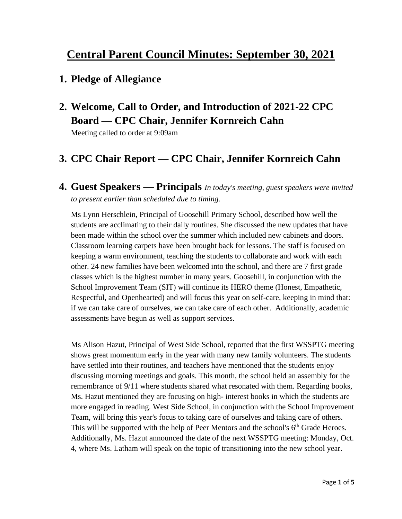# **Central Parent Council Minutes: September 30, 2021**

#### **1. Pledge of Allegiance**

**2. Welcome, Call to Order, and Introduction of 2021-22 CPC Board — CPC Chair, Jennifer Kornreich Cahn**

Meeting called to order at 9:09am

## **3. CPC Chair Report — CPC Chair, Jennifer Kornreich Cahn**

**4. Guest Speakers — Principals** *In today's meeting, guest speakers were invited to present earlier than scheduled due to timing.*

Ms Lynn Herschlein, Principal of Goosehill Primary School, described how well the students are acclimating to their daily routines. She discussed the new updates that have been made within the school over the summer which included new cabinets and doors. Classroom learning carpets have been brought back for lessons. The staff is focused on keeping a warm environment, teaching the students to collaborate and work with each other. 24 new families have been welcomed into the school, and there are 7 first grade classes which is the highest number in many years. Goosehill, in conjunction with the School Improvement Team (SIT) will continue its HERO theme (Honest, Empathetic, Respectful, and Openhearted) and will focus this year on self-care, keeping in mind that: if we can take care of ourselves, we can take care of each other. Additionally, academic assessments have begun as well as support services.

Ms Alison Hazut, Principal of West Side School, reported that the first WSSPTG meeting shows great momentum early in the year with many new family volunteers. The students have settled into their routines, and teachers have mentioned that the students enjoy discussing morning meetings and goals. This month, the school held an assembly for the remembrance of 9/11 where students shared what resonated with them. Regarding books, Ms. Hazut mentioned they are focusing on high- interest books in which the students are more engaged in reading. West Side School, in conjunction with the School Improvement Team, will bring this year's focus to taking care of ourselves and taking care of others. This will be supported with the help of Peer Mentors and the school's  $6<sup>th</sup>$  Grade Heroes. Additionally, Ms. Hazut announced the date of the next WSSPTG meeting: Monday, Oct. 4, where Ms. Latham will speak on the topic of transitioning into the new school year.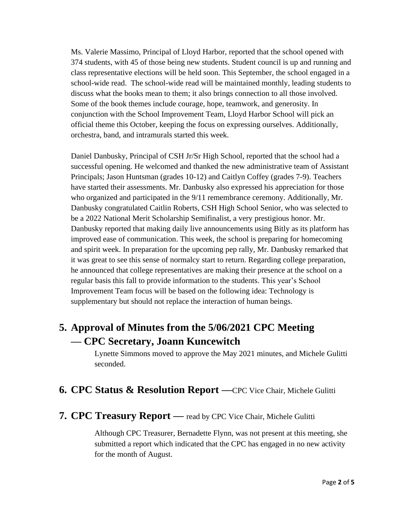Ms. Valerie Massimo, Principal of Lloyd Harbor, reported that the school opened with 374 students, with 45 of those being new students. Student council is up and running and class representative elections will be held soon. This September, the school engaged in a school-wide read. The school-wide read will be maintained monthly, leading students to discuss what the books mean to them; it also brings connection to all those involved. Some of the book themes include courage, hope, teamwork, and generosity. In conjunction with the School Improvement Team, Lloyd Harbor School will pick an official theme this October, keeping the focus on expressing ourselves. Additionally, orchestra, band, and intramurals started this week.

Daniel Danbusky, Principal of CSH Jr/Sr High School, reported that the school had a successful opening. He welcomed and thanked the new administrative team of Assistant Principals; Jason Huntsman (grades 10-12) and Caitlyn Coffey (grades 7-9). Teachers have started their assessments. Mr. Danbusky also expressed his appreciation for those who organized and participated in the 9/11 remembrance ceremony. Additionally, Mr. Danbusky congratulated Caitlin Roberts, CSH High School Senior, who was selected to be a 2022 National Merit Scholarship Semifinalist, a very prestigious honor. Mr. Danbusky reported that making daily live announcements using Bitly as its platform has improved ease of communication. This week, the school is preparing for homecoming and spirit week. In preparation for the upcoming pep rally, Mr. Danbusky remarked that it was great to see this sense of normalcy start to return. Regarding college preparation, he announced that college representatives are making their presence at the school on a regular basis this fall to provide information to the students. This year's School Improvement Team focus will be based on the following idea: Technology is supplementary but should not replace the interaction of human beings.

# **5. Approval of Minutes from the 5/06/2021 CPC Meeting — CPC Secretary, Joann Kuncewitch**

Lynette Simmons moved to approve the May 2021 minutes, and Michele Gulitti seconded.

#### **6. CPC Status & Resolution Report —**CPC Vice Chair, Michele Gulitti

#### **7. CPC Treasury Report —** read by CPC Vice Chair, Michele Gulitti

Although CPC Treasurer, Bernadette Flynn, was not present at this meeting, she submitted a report which indicated that the CPC has engaged in no new activity for the month of August.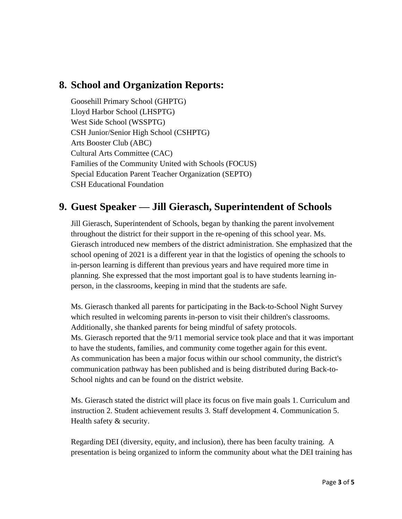#### **8. School and Organization Reports:**

Goosehill Primary School (GHPTG) Lloyd Harbor School (LHSPTG) West Side School (WSSPTG) CSH Junior/Senior High School (CSHPTG) Arts Booster Club (ABC) Cultural Arts Committee (CAC) Families of the Community United with Schools (FOCUS) Special Education Parent Teacher Organization (SEPTO) CSH Educational Foundation

## **9. Guest Speaker — Jill Gierasch, Superintendent of Schools**

Jill Gierasch, Superintendent of Schools, began by thanking the parent involvement throughout the district for their support in the re-opening of this school year. Ms. Gierasch introduced new members of the district administration. She emphasized that the school opening of 2021 is a different year in that the logistics of opening the schools to in-person learning is different than previous years and have required more time in planning. She expressed that the most important goal is to have students learning inperson, in the classrooms, keeping in mind that the students are safe.

Ms. Gierasch thanked all parents for participating in the Back-to-School Night Survey which resulted in welcoming parents in-person to visit their children's classrooms. Additionally, she thanked parents for being mindful of safety protocols. Ms. Gierasch reported that the 9/11 memorial service took place and that it was important to have the students, families, and community come together again for this event. As communication has been a major focus within our school community, the district's communication pathway has been published and is being distributed during Back-to-School nights and can be found on the district website.

Ms. Gierasch stated the district will place its focus on five main goals 1. Curriculum and instruction 2. Student achievement results 3. Staff development 4. Communication 5. Health safety & security.

Regarding DEI (diversity, equity, and inclusion), there has been faculty training. A presentation is being organized to inform the community about what the DEI training has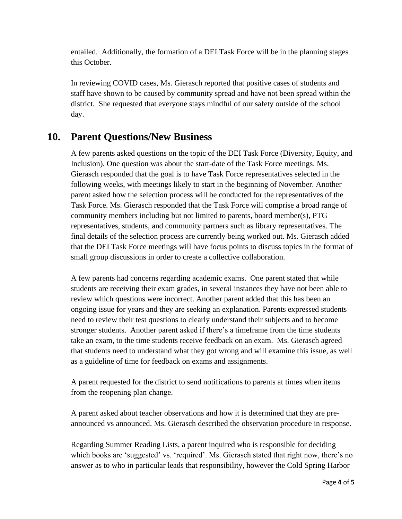entailed. Additionally, the formation of a DEI Task Force will be in the planning stages this October.

In reviewing COVID cases, Ms. Gierasch reported that positive cases of students and staff have shown to be caused by community spread and have not been spread within the district. She requested that everyone stays mindful of our safety outside of the school day.

#### **10. Parent Questions/New Business**

A few parents asked questions on the topic of the DEI Task Force (Diversity, Equity, and Inclusion). One question was about the start-date of the Task Force meetings. Ms. Gierasch responded that the goal is to have Task Force representatives selected in the following weeks, with meetings likely to start in the beginning of November. Another parent asked how the selection process will be conducted for the representatives of the Task Force. Ms. Gierasch responded that the Task Force will comprise a broad range of community members including but not limited to parents, board member(s), PTG representatives, students, and community partners such as library representatives. The final details of the selection process are currently being worked out. Ms. Gierasch added that the DEI Task Force meetings will have focus points to discuss topics in the format of small group discussions in order to create a collective collaboration.

A few parents had concerns regarding academic exams. One parent stated that while students are receiving their exam grades, in several instances they have not been able to review which questions were incorrect. Another parent added that this has been an ongoing issue for years and they are seeking an explanation. Parents expressed students need to review their test questions to clearly understand their subjects and to become stronger students. Another parent asked if there's a timeframe from the time students take an exam, to the time students receive feedback on an exam. Ms. Gierasch agreed that students need to understand what they got wrong and will examine this issue, as well as a guideline of time for feedback on exams and assignments.

A parent requested for the district to send notifications to parents at times when items from the reopening plan change.

A parent asked about teacher observations and how it is determined that they are preannounced vs announced. Ms. Gierasch described the observation procedure in response.

Regarding Summer Reading Lists, a parent inquired who is responsible for deciding which books are 'suggested' vs. 'required'. Ms. Gierasch stated that right now, there's no answer as to who in particular leads that responsibility, however the Cold Spring Harbor